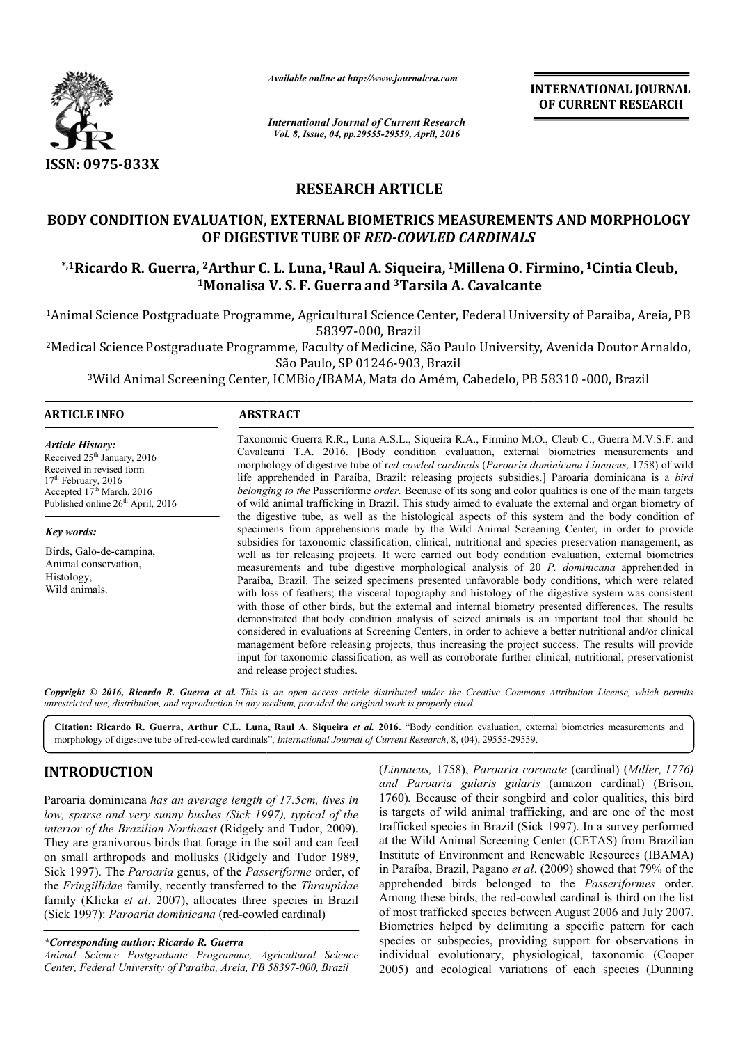

*Available online at http://www.journalcra.com*

**INTERNATIONAL JOURNAL OF CURRENT RESEARCH** 

*International Journal of Current Research Vol. 8, Issue, 04, pp.29555-29559, April, 2016*

# **RESEARCH ARTICLE**

## BODY CONDITION EVALUATION, EXTERNAL BIOMETRICS MEASUREMENTS AND MORPHOLOGY **OF DIGESTIVE TUBE OF**  *RED-COWLED CARDINALS COWLED*

## **\*,1Ricardo R. Guerra, 2Arthur C. Arthur L. Luna, 1Raul A. Siqueira, 1Millena O. Firmino, Millena 1Cintia Cleub, 1Monalisa V. Monalisa S. F. Guerra and 3Tarsila A. Cavalcante Tarsila**

<sup>1</sup>Animal Science Postgraduate Programme, Agricultural Science Center, Federal University of Paraiba, Areia, PB 58397-000, Brazil

2Medical Science Postgraduate Programme Medical Programme, Faculty of Medicine, São Paulo University, Avenida Doutor Arnaldo, São Paulo, SP 01246-903, Brazil tgraduate Programme, Faculty of Medicine, São Paulo University, Avenida Doutor A<br>São Paulo, SP 01246-903, Brazil<br>Screening Center, ICMBio/IBAMA, Mata do Amém, Cabedelo, PB 58310 -000, Brazil

3Wild Animal Screening Center, ICMBio/IBAMA, Mata do Amém, Cabedelo, PB 58310 Wild

## **ARTICLE INFO ABSTRACT**

*Article History:* Received 25<sup>th</sup> January, 2016 Received in revised form 17<sup>th</sup> February, 2016 Accepted 17<sup>th</sup> March, 2016 Published online 26<sup>th</sup> April, 2016

*Key words:*

Birds, Galo-de-campina, Animal conservation, Histology, Wild animals.

Taxonomic Guerra R.R., Luna A.S.L., Siqueira R.A., Firmino M.O., Cleub C., Guerra M.V.S.F. and Cavalcanti T.A. 2016. [Body condition evaluation, external biometrics measurements and Cavalcanti T.A. 2016. [Body condition evaluation, external biometrics measurem morphology of digestive tube of r *ed-cowled cardinals* (*Paroaria dominicana Paroaria Linnaeus,* 1758) of wild life apprehended in Paraíba, Brazil: releasing projects subsidies.] Paroaria dominicana is a *bird belonging to the* Passeriforme *order*. Because of its song and color qualities is one of the main targets of wild animal trafficking in Brazil. This study aimed to evaluate the external and organ biometry of belonging to the Passeriforme order. Because of its song and color qualities is one of the main targets of wild animal trafficking in Brazil. This study aimed to evaluate the external and organ biometry of the digestive tu specimens from apprehensions made by the Wild Animal Screening Center, in order to provide subsidies for taxonomic classification, clinical, nutritional and species preservation management, as well as for releasing projects. It were carried out body condition evaluation, external biometrics measurements and tube digestive morphological analysis of 20  $P$ , *dominicana* apprehended in Paraíba, Brazil. The seized specimens presented unfavorable body conditions, which were related with loss of feathers; the visceral topography and histology of the digestive system was consistent with those of other birds, but the external and internal biometry presented differences. The results demonstrated that body condition analysis of seized animals is an important to considered in evaluations at Screening Centers, in order to achieve a better nutritional and/or clinical management before releasing projects, thus increasing the project success. The results will provide considered in evaluations at Screening Centers, in order to achieve a better nutritional and/or clinical management before releasing projects, thus increasing the project success. The results will provide input for taxonom and release project studies. specimens from apprehensions made by the Wild Animal Screening Center, in order to provide subsidies for taxonomic classification, clinical, nutritional and species preservation management, as well as for releasing project Paraíba, Brazil. The seized specimens presented unfavorable body conditions, which were related with loss of feathers; the visceral topography and histology of the digestive system was consistent with those of other birds,

Copyright © 2016, Ricardo R. Guerra et al. This is an open access article distributed under the Creative Commons Attribution License, which permits *unrestricted use, distribution, and reproduction in any medium, provided the original work is properly cited.*

Citation: Ricardo R. Guerra, Arthur C.L. Luna, Raul A. Siqueira et al. 2016. "Body condition evaluation, external biometrics measurements and Citation: Ricardo R. Guerra, Arthur C.L. Luna, Raul A. Siqueira et al. 2016. "Body condition evaluation, ext<br>morphology of digestive tube of red-cowled cardinals", *International Journal of Current Research*, 8, (04), 2955

## **INTRODUCTION**

Paroaria dominicana *has an average length of 17.5cm, lives in low, sparse and very sunny bushes (Sick 1997), typical of the interior of the Brazilian Northeast* (Ridgely and Tudor, 2009). They are granivorous birds that forage in the soil and can feed on small arthropods and mollusks (Ridgely and Tudor 1989, Sick 1997). The *Paroaria* genus, of the *Passeriforme* order, of the *Fringillidae* family, recently transferred to the *Thraupidae* family (Klicka *et al*. 2007), allocates three species in Brazil (Sick 1997): Paroaria dominicana (red-cowled cardinal)

#### *\*Corresponding author: Ricardo R. Guerra*

*Animal Science Postgraduate Programme, Agricultural Science*  Animal Science Postgraduate Programme, Agricultural Scien<br>Center, Federal University of Paraiba, Areia, PB 58397-000, Brazil

(*Linnaeus,* 1758), *Paroaria coronate* (cardinal) (*Miller, 1776)* and Paroaria gularis gularis (amazon cardinal) (Brison, 1760)*.* Because of their songbird and color qualities, this bird is targets of wild animal trafficking, and are one of the most trafficked species in Brazil (Sick 1997). In a survey performed at the Wild Animal Screening Center (CETAS) from Brazilian Institute of Environment and Renewable Resources (IBAMA) in Paraíba, Brazil, Pagano *et al* apprehended birds belonged to the belonged to the *Passeriformes* order. Among these birds, the red-cowled cardinal is third on the list of most trafficked species between August 2006 and July 2007. Biometrics helped by delimiting a specific pattern for each species or subspecies, providing support for observations in individual evolutionary, physiological, taxonomic (Cooper 2005) and ecological variations of each species (Dunning Because of their songbird and color qualities, this bird<br>tts of wild animal trafficking, and are one of the most<br>ed species in Brazil (Sick 1997). In a survey performed<br>Wild Animal Screening Center (CETAS) from Brazilian<br>e these birds, the red-cowled cardinal is third on the list<br>t trafficked species between August 2006 and July 2007.<br>rics helped by delimiting a specific pattern for each<br>or subspecies, providing support for observations in<br>u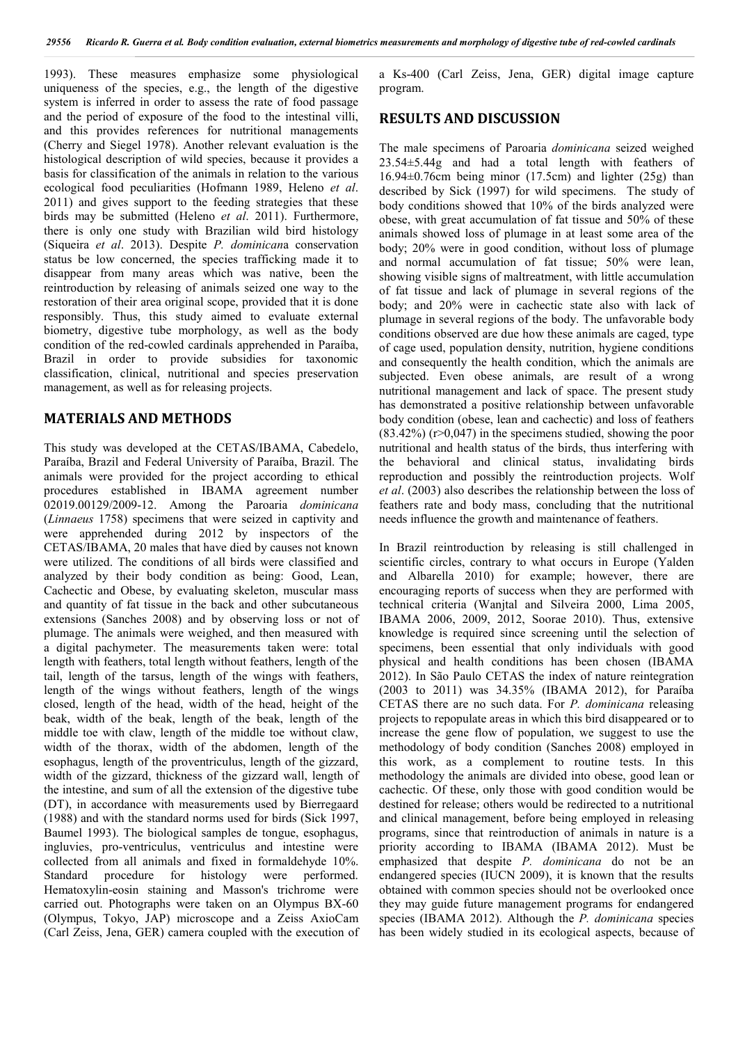1993). These measures emphasize some physiological uniqueness of the species, e.g., the length of the digestive system is inferred in order to assess the rate of food passage and the period of exposure of the food to the intestinal villi, and this provides references for nutritional managements (Cherry and Siegel 1978). Another relevant evaluation is the histological description of wild species, because it provides a basis for classification of the animals in relation to the various ecological food peculiarities (Hofmann 1989, Heleno *et al*. 2011) and gives support to the feeding strategies that these birds may be submitted (Heleno *et al*. 2011). Furthermore, there is only one study with Brazilian wild bird histology (Siqueira *et al*. 2013). Despite *P. dominican*a conservation status be low concerned, the species trafficking made it to disappear from many areas which was native, been the reintroduction by releasing of animals seized one way to the restoration of their area original scope, provided that it is done responsibly. Thus, this study aimed to evaluate external biometry, digestive tube morphology, as well as the body condition of the red-cowled cardinals apprehended in Paraíba, Brazil in order to provide subsidies for taxonomic classification, clinical, nutritional and species preservation management, as well as for releasing projects.

### **MATERIALS AND METHODS**

This study was developed at the CETAS/IBAMA, Cabedelo, Paraíba, Brazil and Federal University of Paraíba, Brazil. The animals were provided for the project according to ethical procedures established in IBAMA agreement number 02019.00129/2009-12. Among the Paroaria *dominicana* (*Linnaeus* 1758) specimens that were seized in captivity and were apprehended during 2012 by inspectors of the CETAS/IBAMA, 20 males that have died by causes not known were utilized. The conditions of all birds were classified and analyzed by their body condition as being: Good, Lean, Cachectic and Obese, by evaluating skeleton, muscular mass and quantity of fat tissue in the back and other subcutaneous extensions (Sanches 2008) and by observing loss or not of plumage. The animals were weighed, and then measured with a digital pachymeter. The measurements taken were: total length with feathers, total length without feathers, length of the tail, length of the tarsus, length of the wings with feathers, length of the wings without feathers, length of the wings closed, length of the head, width of the head, height of the beak, width of the beak, length of the beak, length of the middle toe with claw, length of the middle toe without claw, width of the thorax, width of the abdomen, length of the esophagus, length of the proventriculus, length of the gizzard, width of the gizzard, thickness of the gizzard wall, length of the intestine, and sum of all the extension of the digestive tube (DT), in accordance with measurements used by Bierregaard (1988) and with the standard norms used for birds (Sick 1997, Baumel 1993). The biological samples de tongue, esophagus, ingluvies, pro-ventriculus, ventriculus and intestine were collected from all animals and fixed in formaldehyde 10%. Standard procedure for histology were performed. Hematoxylin-eosin staining and Masson's trichrome were carried out. Photographs were taken on an Olympus BX-60 (Olympus, Tokyo, JAP) microscope and a Zeiss AxioCam (Carl Zeiss, Jena, GER) camera coupled with the execution of a Ks-400 (Carl Zeiss, Jena, GER) digital image capture program.

### **RESULTS AND DISCUSSION**

The male specimens of Paroaria *dominicana* seized weighed 23.54±5.44g and had a total length with feathers of 16.94±0.76cm being minor (17.5cm) and lighter (25g) than described by Sick (1997) for wild specimens. The study of body conditions showed that 10% of the birds analyzed were obese, with great accumulation of fat tissue and 50% of these animals showed loss of plumage in at least some area of the body; 20% were in good condition, without loss of plumage and normal accumulation of fat tissue; 50% were lean, showing visible signs of maltreatment, with little accumulation of fat tissue and lack of plumage in several regions of the body; and 20% were in cachectic state also with lack of plumage in several regions of the body. The unfavorable body conditions observed are due how these animals are caged, type of cage used, population density, nutrition, hygiene conditions and consequently the health condition, which the animals are subjected. Even obese animals, are result of a wrong nutritional management and lack of space. The present study has demonstrated a positive relationship between unfavorable body condition (obese, lean and cachectic) and loss of feathers  $(83.42\%)$  (r>0,047) in the specimens studied, showing the poor nutritional and health status of the birds, thus interfering with the behavioral and clinical status, invalidating birds reproduction and possibly the reintroduction projects. Wolf *et al*. (2003) also describes the relationship between the loss of feathers rate and body mass, concluding that the nutritional needs influence the growth and maintenance of feathers.

In Brazil reintroduction by releasing is still challenged in scientific circles, contrary to what occurs in Europe (Yalden and Albarella 2010) for example; however, there are encouraging reports of success when they are performed with technical criteria (Wanjtal and Silveira 2000, Lima 2005, IBAMA 2006, 2009, 2012, Soorae 2010). Thus, extensive knowledge is required since screening until the selection of specimens, been essential that only individuals with good physical and health conditions has been chosen (IBAMA 2012). In São Paulo CETAS the index of nature reintegration (2003 to 2011) was 34.35% (IBAMA 2012), for Paraíba CETAS there are no such data. For *P. dominicana* releasing projects to repopulate areas in which this bird disappeared or to increase the gene flow of population, we suggest to use the methodology of body condition (Sanches 2008) employed in this work, as a complement to routine tests. In this methodology the animals are divided into obese, good lean or cachectic. Of these, only those with good condition would be destined for release; others would be redirected to a nutritional and clinical management, before being employed in releasing programs, since that reintroduction of animals in nature is a priority according to IBAMA (IBAMA 2012). Must be emphasized that despite *P. dominicana* do not be an endangered species (IUCN 2009), it is known that the results obtained with common species should not be overlooked once they may guide future management programs for endangered species (IBAMA 2012). Although the *P. dominicana* species has been widely studied in its ecological aspects, because of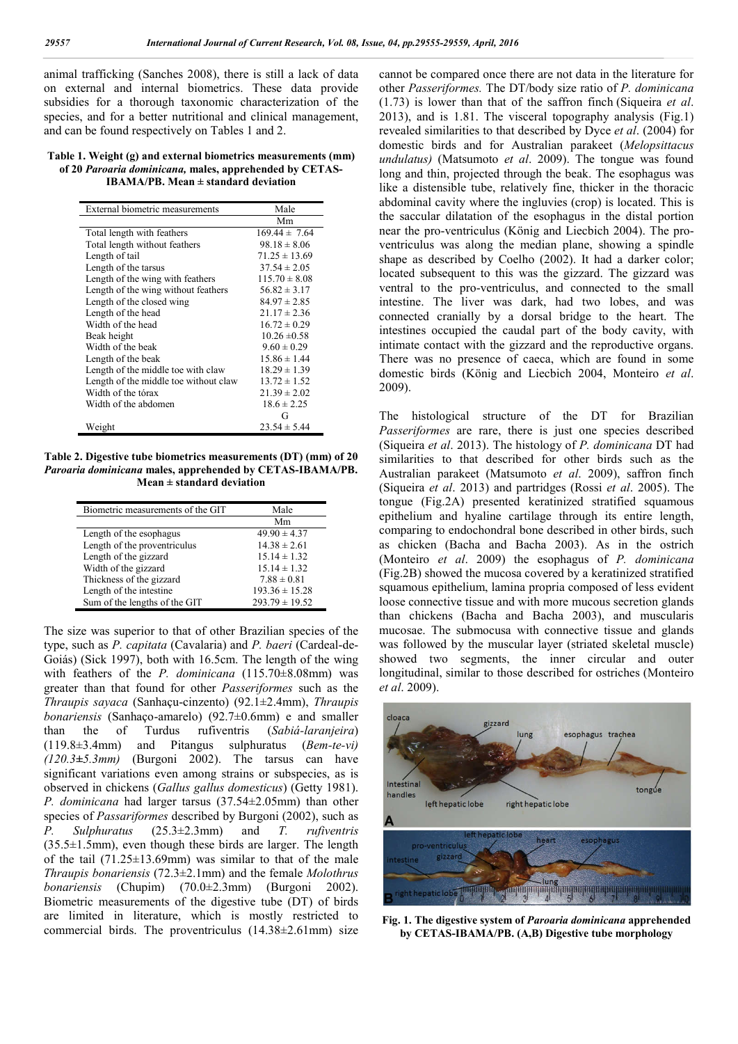animal trafficking (Sanches 2008), there is still a lack of data on external and internal biometrics. These data provide subsidies for a thorough taxonomic characterization of the species, and for a better nutritional and clinical management, and can be found respectively on Tables 1 and 2.

#### **Table 1. Weight (g) and external biometrics measurements (mm) of 20** *Paroaria dominicana,* **males, apprehended by CETAS-IBAMA/PB. Mean ± standard deviation**

| External biometric measurements       | Male              |
|---------------------------------------|-------------------|
|                                       | Mm                |
| Total length with feathers            | $169.44 \pm 7.64$ |
| Total length without feathers         | $98.18 \pm 8.06$  |
| Length of tail                        | $71.25 \pm 13.69$ |
| Length of the tarsus                  | $37.54 \pm 2.05$  |
| Length of the wing with feathers      | $115.70 \pm 8.08$ |
| Length of the wing without feathers   | $56.82 \pm 3.17$  |
| Length of the closed wing             | $84.97 \pm 2.85$  |
| Length of the head                    | $21.17 \pm 2.36$  |
| Width of the head                     | $16.72 \pm 0.29$  |
| Beak height                           | $10.26 \pm 0.58$  |
| Width of the beak                     | $9.60 \pm 0.29$   |
| Length of the beak                    | $15.86 \pm 1.44$  |
| Length of the middle toe with claw    | $18.29 \pm 1.39$  |
| Length of the middle toe without claw | $13.72 \pm 1.52$  |
| Width of the tórax                    | $21.39 \pm 2.02$  |
| Width of the abdomen                  | $18.6 \pm 2.25$   |
|                                       | G                 |
| Weight                                | $23.54 \pm 5.44$  |

**Table 2. Digestive tube biometrics measurements (DT) (mm) of 20**  *Paroaria dominicana* **males, apprehended by CETAS-IBAMA/PB. Mean ± standard deviation**

| Biometric measurements of the GIT | Male               |
|-----------------------------------|--------------------|
|                                   | Mm                 |
| Length of the esophagus           | $49.90 \pm 4.37$   |
| Length of the proventriculus      | $14.38 \pm 2.61$   |
| Length of the gizzard             | $15.14 \pm 1.32$   |
| Width of the gizzard              | $15.14 \pm 1.32$   |
| Thickness of the gizzard          | $7.88 \pm 0.81$    |
| Length of the intestine           | $193.36 \pm 15.28$ |
| Sum of the lengths of the GIT     | $293.79 \pm 19.52$ |

The size was superior to that of other Brazilian species of the type, such as *P. capitata* (Cavalaria) and *P. baeri* (Cardeal-de-Goiás) (Sick 1997), both with 16.5cm. The length of the wing with feathers of the *P. dominicana* (115.70±8.08mm) was greater than that found for other *Passeriformes* such as the *Thraupis sayaca* (Sanhaçu-cinzento) (92.1±2.4mm), *Thraupis bonariensis* (Sanhaço-amarelo) (92.7±0.6mm) e and smaller than the of Turdus rufiventris (*Sabiá-laranjeira*) (119.8±3.4mm) and Pitangus sulphuratus (*Bem-te-vi) (120.3±5.3mm)* (Burgoni 2002). The tarsus can have significant variations even among strains or subspecies, as is observed in chickens (*Gallus gallus domesticus*) (Getty 1981). *P. dominicana* had larger tarsus (37.54±2.05mm) than other species of *Passariformes* described by Burgoni (2002), such as *P. Sulphuratus* (25.3±2.3mm) and *T. rufiventris* (35.5±1.5mm), even though these birds are larger. The length of the tail  $(71.25 \pm 13.69$ mm) was similar to that of the male *Thraupis bonariensis* (72.3±2.1mm) and the female *Molothrus bonariensis* (Chupim) (70.0±2.3mm) (Burgoni 2002). Biometric measurements of the digestive tube (DT) of birds are limited in literature, which is mostly restricted to commercial birds. The proventriculus (14.38±2.61mm) size cannot be compared once there are not data in the literature for other *Passeriformes.* The DT/body size ratio of *P. dominicana* (1.73) is lower than that of the saffron finch (Siqueira *et al*. 2013), and is 1.81. The visceral topography analysis (Fig.1) revealed similarities to that described by Dyce *et al*. (2004) for domestic birds and for Australian parakeet (*Melopsittacus undulatus)* (Matsumoto *et al*. 2009). The tongue was found long and thin, projected through the beak. The esophagus was like a distensible tube, relatively fine, thicker in the thoracic abdominal cavity where the ingluvies (crop) is located. This is the saccular dilatation of the esophagus in the distal portion near the pro-ventriculus (König and Liecbich 2004). The proventriculus was along the median plane, showing a spindle shape as described by Coelho (2002). It had a darker color; located subsequent to this was the gizzard. The gizzard was ventral to the pro-ventriculus, and connected to the small intestine. The liver was dark, had two lobes, and was connected cranially by a dorsal bridge to the heart. The intestines occupied the caudal part of the body cavity, with intimate contact with the gizzard and the reproductive organs. There was no presence of caeca, which are found in some domestic birds (König and Liecbich 2004, Monteiro *et al*. 2009).

The histological structure of the DT for Brazilian *Passeriformes* are rare, there is just one species described (Siqueira *et al*. 2013). The histology of *P. dominicana* DT had similarities to that described for other birds such as the Australian parakeet (Matsumoto *et al*. 2009), saffron finch (Siqueira *et al*. 2013) and partridges (Rossi *et al*. 2005). The tongue (Fig.2A) presented keratinized stratified squamous epithelium and hyaline cartilage through its entire length, comparing to endochondral bone described in other birds, such as chicken (Bacha and Bacha 2003). As in the ostrich (Monteiro *et al*. 2009) the esophagus of *P. dominicana* (Fig.2B) showed the mucosa covered by a keratinized stratified squamous epithelium, lamina propria composed of less evident loose connective tissue and with more mucous secretion glands than chickens (Bacha and Bacha 2003), and muscularis mucosae. The submocusa with connective tissue and glands was followed by the muscular layer (striated skeletal muscle) showed two segments, the inner circular and outer longitudinal, similar to those described for ostriches (Monteiro *et al*. 2009).



**Fig. 1. The digestive system of** *Paroaria dominicana* **apprehended by CETAS-IBAMA/PB. (A,B) Digestive tube morphology**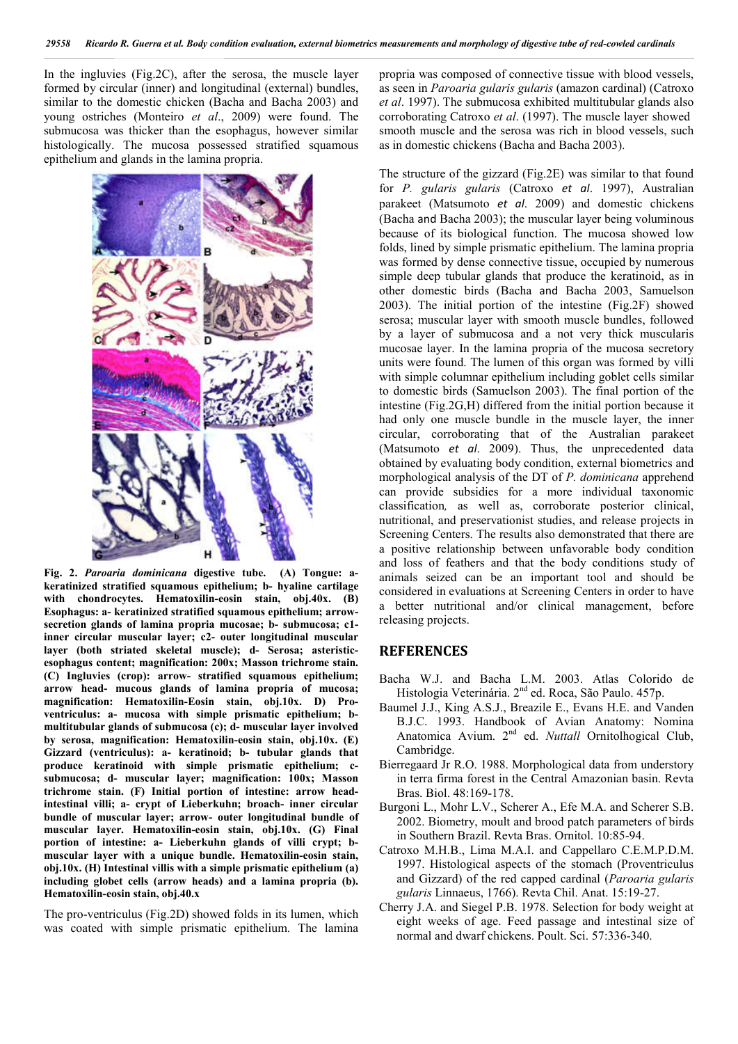In the ingluvies (Fig.2C), after the serosa, the muscle layer formed by circular (inner) and longitudinal (external) bundles, similar to the domestic chicken (Bacha and Bacha 2003) and young ostriches (Monteiro *et al*., 2009) were found. The submucosa was thicker than the esophagus, however similar histologically. The mucosa possessed stratified squamous epithelium and glands in the lamina propria.



**Fig. 2.** *Paroaria dominicana* **digestive tube. (A) Tongue: akeratinized stratified squamous epithelium; b- hyaline cartilage with chondrocytes. Hematoxilin-eosin stain, obj.40x. (B) Esophagus: a- keratinized stratified squamous epithelium; arrowsecretion glands of lamina propria mucosae; b- submucosa; c1 inner circular muscular layer; c2- outer longitudinal muscular layer (both striated skeletal muscle); d- Serosa; asteristicesophagus content; magnification: 200x; Masson trichrome stain. (C) Ingluvies (crop): arrow- stratified squamous epithelium; arrow head- mucous glands of lamina propria of mucosa; magnification: Hematoxilin-Eosin stain, obj.10x. D) Proventriculus: a- mucosa with simple prismatic epithelium; bmultitubular glands of submucosa (c); d- muscular layer involved by serosa, magnification: Hematoxilin-eosin stain, obj.10x. (E) Gizzard (ventriculus): a- keratinoid; b- tubular glands that produce keratinoid with simple prismatic epithelium; csubmucosa; d- muscular layer; magnification: 100x; Masson trichrome stain. (F) Initial portion of intestine: arrow headintestinal villi; a- crypt of Lieberkuhn; broach- inner circular bundle of muscular layer; arrow- outer longitudinal bundle of muscular layer. Hematoxilin-eosin stain, obj.10x. (G) Final portion of intestine: a- Lieberkuhn glands of villi crypt; bmuscular layer with a unique bundle. Hematoxilin-eosin stain, obj.10x. (H) Intestinal villis with a simple prismatic epithelium (a) including globet cells (arrow heads) and a lamina propria (b). Hematoxilin-eosin stain, obj.40.x**

The pro-ventriculus (Fig.2D) showed folds in its lumen, which was coated with simple prismatic epithelium. The lamina propria was composed of connective tissue with blood vessels, as seen in *Paroaria gularis gularis* (amazon cardinal) (Catroxo *et al*. 1997). The submucosa exhibited multitubular glands also corroborating Catroxo *et al*. (1997). The muscle layer showed smooth muscle and the serosa was rich in blood vessels, such as in domestic chickens (Bacha and Bacha 2003).

The structure of the gizzard (Fig.2E) was similar to that found for *P. gularis gularis* (Catroxo *et al*. 1997), Australian parakeet (Matsumoto *et al*. 2009) and domestic chickens (Bacha and Bacha 2003); the muscular layer being voluminous because of its biological function. The mucosa showed low folds, lined by simple prismatic epithelium. The lamina propria was formed by dense connective tissue, occupied by numerous simple deep tubular glands that produce the keratinoid, as in other domestic birds (Bacha and Bacha 2003, Samuelson 2003). The initial portion of the intestine (Fig.2F) showed serosa; muscular layer with smooth muscle bundles, followed by a layer of submucosa and a not very thick muscularis mucosae layer. In the lamina propria of the mucosa secretory units were found. The lumen of this organ was formed by villi with simple columnar epithelium including goblet cells similar to domestic birds (Samuelson 2003). The final portion of the intestine (Fig.2G,H) differed from the initial portion because it had only one muscle bundle in the muscle layer, the inner circular, corroborating that of the Australian parakeet (Matsumoto *et al*. 2009). Thus, the unprecedented data obtained by evaluating body condition, external biometrics and morphological analysis of the DT of *P. dominicana* apprehend can provide subsidies for a more individual taxonomic classification*,* as well as, corroborate posterior clinical, nutritional, and preservationist studies, and release projects in Screening Centers. The results also demonstrated that there are a positive relationship between unfavorable body condition and loss of feathers and that the body conditions study of animals seized can be an important tool and should be considered in evaluations at Screening Centers in order to have a better nutritional and/or clinical management, before releasing projects.

### **REFERENCES**

- Bacha W.J. and Bacha L.M. 2003. Atlas Colorido de Histologia Veterinária. 2<sup>nd</sup> ed. Roca, São Paulo. 457p.
- Baumel J.J., King A.S.J., Breazile E., Evans H.E. and Vanden B.J.C. 1993. Handbook of Avian Anatomy: Nomina Anatomica Avium. 2nd ed. *Nuttall* Ornitolhogical Club, Cambridge.
- Bierregaard Jr R.O. 1988. Morphological data from understory in terra firma forest in the Central Amazonian basin. Revta Bras. Biol. 48:169-178.
- Burgoni L., Mohr L.V., Scherer A., Efe M.A. and Scherer S.B. 2002. Biometry, moult and brood patch parameters of birds in Southern Brazil. Revta Bras. Ornitol. 10:85-94.
- Catroxo M.H.B., Lima M.A.I. and Cappellaro C.E.M.P.D.M. 1997. Histological aspects of the stomach (Proventriculus and Gizzard) of the red capped cardinal (*Paroaria gularis gularis* Linnaeus, 1766). Revta Chil. Anat. 15:19-27.
- Cherry J.A. and Siegel P.B. 1978. Selection for body weight at eight weeks of age. Feed passage and intestinal size of normal and dwarf chickens. Poult. Sci. 57:336-340.